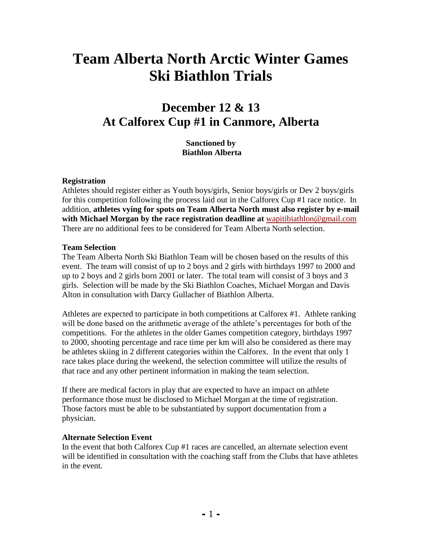# **Team Alberta North Arctic Winter Games Ski Biathlon Trials**

## **December 12 & 13 At Calforex Cup #1 in Canmore, Alberta**

**Sanctioned by Biathlon Alberta**

#### **Registration**

Athletes should register either as Youth boys/girls, Senior boys/girls or Dev 2 boys/girls for this competition following the process laid out in the Calforex Cup #1 race notice. In addition, **athletes vying for spots on Team Alberta North must also register by e-mail with Michael Morgan by the race registration deadline at** [wapitibiathlon@gmail.com](mailto:wapitibiathlon@gmail.com) There are no additional fees to be considered for Team Alberta North selection.

#### **Team Selection**

The Team Alberta North Ski Biathlon Team will be chosen based on the results of this event. The team will consist of up to 2 boys and 2 girls with birthdays 1997 to 2000 and up to 2 boys and 2 girls born 2001 or later. The total team will consist of 3 boys and 3 girls. Selection will be made by the Ski Biathlon Coaches, Michael Morgan and Davis Alton in consultation with Darcy Gullacher of Biathlon Alberta.

Athletes are expected to participate in both competitions at Calforex #1. Athlete ranking will be done based on the arithmetic average of the athlete's percentages for both of the competitions. For the athletes in the older Games competition category, birthdays 1997 to 2000, shooting percentage and race time per km will also be considered as there may be athletes skiing in 2 different categories within the Calforex. In the event that only 1 race takes place during the weekend, the selection committee will utilize the results of that race and any other pertinent information in making the team selection.

If there are medical factors in play that are expected to have an impact on athlete performance those must be disclosed to Michael Morgan at the time of registration. Those factors must be able to be substantiated by support documentation from a physician.

#### **Alternate Selection Event**

In the event that both Calforex Cup #1 races are cancelled, an alternate selection event will be identified in consultation with the coaching staff from the Clubs that have athletes in the event.